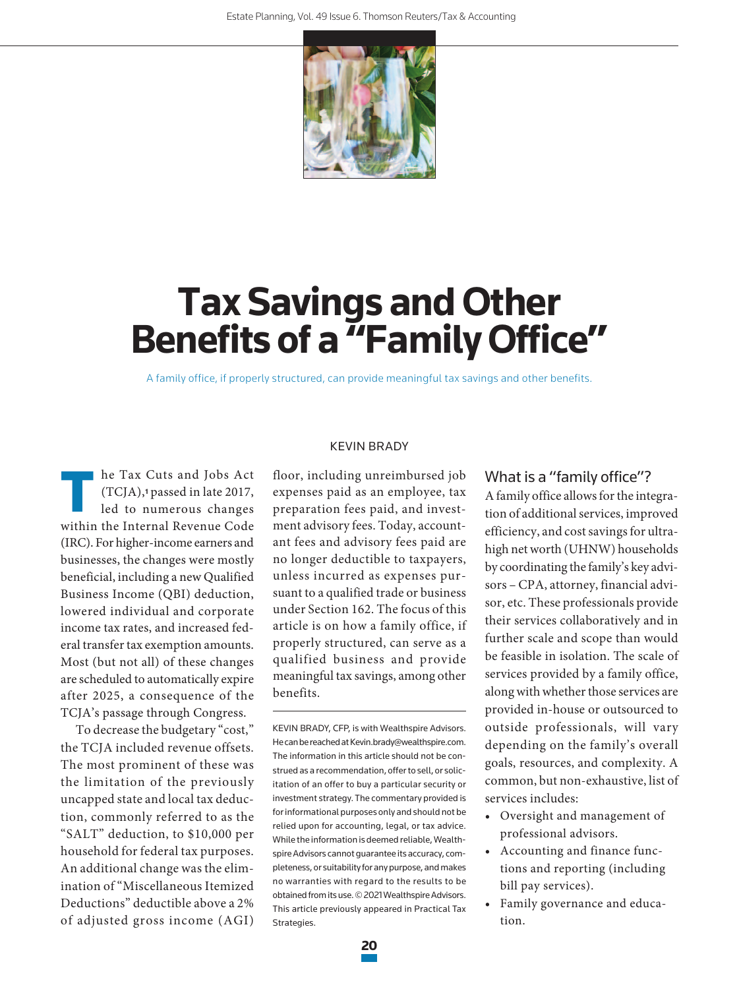

# **Tax Savings and Other Benefits of a "Family Office"**

A family office, if properly structured, can provide meaningful tax savings and other benefits.

T he Tax Cuts and Jobs Act (TCJA),**1** passed in late 2017, led to numerous changes within the Internal Revenue Code (IRC). For higher-income earners and businesses, the changes were mostly beneficial, including a new Qualified Business Income (QBI) deduction, lowered individual and corporate income tax rates, and increased federal transfer tax exemption amounts. Most (but not all) of these changes are scheduled to automatically expire after 2025, a consequence of the TCJA's passage through Congress.

To decrease the budgetary "cost," the TCJA included revenue offsets. The most prominent of these was the limitation of the previously uncapped state and local tax deduction, commonly referred to as the "SALT" deduction, to \$10,000 per household for federal tax purposes. An additional change was the elimination of "Miscellaneous Itemized Deductions" deductible above a 2% of adjusted gross income (AGI)

#### KEVIN BRADY

floor, including unreimbursed job expenses paid as an employee, tax preparation fees paid, and investment advisory fees. Today, accountant fees and advisory fees paid are no longer deductible to taxpayers, unless incurred as expenses pursuant to a qualified trade or business under Section 162. The focus of this article is on how a family office, if properly structured, can serve as a qualified business and provide meaningful tax savings, among other benefits.

KEVIN BRADY, CFP, is with Wealthspire Advisors. He can be reached at Kevin.brady@wealthspire.com. The information in this article should not be construed as a recommendation, offer to sell, or solicitation of an offer to buy a particular security or investment strategy. The commentary provided is for informational purposes only and should not be relied upon for accounting, legal, or tax advice. While the information is deemed reliable, Wealthspire Advisors cannot guarantee its accuracy, completeness, or suitability for any purpose, and makes no warranties with regard to the results to be obtained from its use. © 2021 Wealthspire Advisors. This article previously appeared in Practical Tax Strategies.

# What is a "family office"?

A family office allows for the integration of additional services, improved efficiency, and cost savings for ultrahigh net worth (UHNW) households by coordinating the family's key advisors – CPA, attorney, financial advisor, etc. These professionals provide their services collaboratively and in further scale and scope than would be feasible in isolation. The scale of services provided by a family office, along with whether those services are provided in-house or outsourced to outside professionals, will vary depending on the family's overall goals, resources, and complexity. A common, but non-exhaustive, list of services includes:

- Oversight and management of professional advisors.
- Accounting and finance functions and reporting (including bill pay services).
- Family governance and education.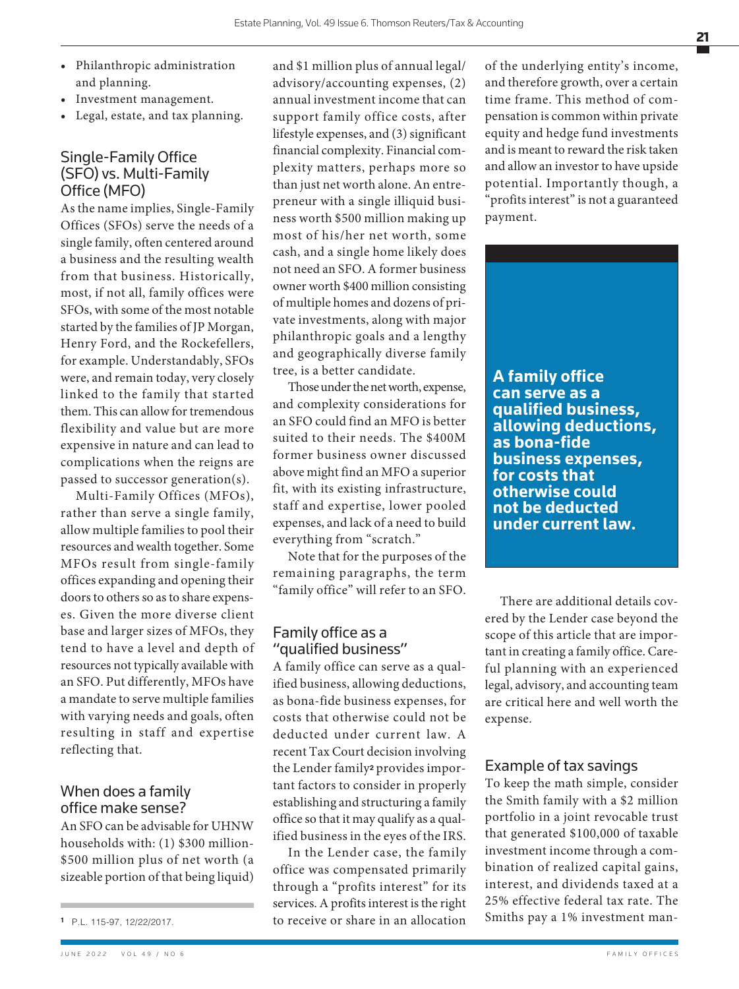- Philanthropic administration and planning.
- Investment management.
- Legal, estate, and tax planning.

# Single-Family Office (SFO) vs. Multi-Family Office (MFO)

As the name implies, Single-Family Offices (SFOs) serve the needs of a single family, often centered around a business and the resulting wealth from that business. Historically, most, if not all, family offices were SFOs, with some of the most notable started by the families of JP Morgan, Henry Ford, and the Rockefellers, for example. Understandably, SFOs were, and remain today, very closely linked to the family that started them. This can allow for tremendous flexibility and value but are more expensive in nature and can lead to complications when the reigns are passed to successor generation(s).

Multi-Family Offices (MFOs), rather than serve a single family, allow multiple families to pool their resources and wealth together. Some MFOs result from single-family offices expanding and opening their doors to others so as to share expenses. Given the more diverse client base and larger sizes of MFOs, they tend to have a level and depth of resources not typically available with an SFO. Put differently, MFOs have a mandate to serve multiple families with varying needs and goals, often resulting in staff and expertise reflecting that.

# When does a family office make sense?

An SFO can be advisable for UHNW households with: (1) \$300 million- \$500 million plus of net worth (a sizeable portion of that being liquid)

JUNE 2022 VOL 49 / NO 6 FAMILY OFFICES

and \$1 million plus of annual legal/ advisory/accounting expenses, (2) annual investment income that can support family office costs, after lifestyle expenses, and (3) significant financial complexity. Financial complexity matters, perhaps more so than just net worth alone. An entrepreneur with a single illiquid business worth \$500 million making up most of his/her net worth, some cash, and a single home likely does not need an SFO. A former business owner worth \$400 million consisting of multiple homes and dozens of private investments, along with major philanthropic goals and a lengthy and geographically diverse family tree, is a better candidate.

Those under the net worth, expense, and complexity considerations for an SFO could find an MFO is better suited to their needs. The \$400M former business owner discussed above might find an MFO a superior fit, with its existing infrastructure, staff and expertise, lower pooled expenses, and lack of a need to build everything from "scratch."

Note that for the purposes of the remaining paragraphs, the term "family office" will refer to an SFO.

### Family office as a "qualified business"

A family office can serve as a qualified business, allowing deductions, as bona-fide business expenses, for costs that otherwise could not be deducted under current law. A recent Tax Court decision involving the Lender family**2** provides important factors to consider in properly establishing and structuring a family office so that it may qualify as a qualified business in the eyes of the IRS.

In the Lender case, the family office was compensated primarily through a "profits interest" for its services. A profits interest is the right to receive or share in an allocation

of the underlying entity's income, and therefore growth, over a certain time frame. This method of compensation is common within private equity and hedge fund investments and is meant to reward the risk taken and allow an investor to have upside potential. Importantly though, a "profits interest" is not a guaranteed payment.



There are additional details covered by the Lender case beyond the scope of this article that are important in creating a family office. Careful planning with an experienced legal, advisory, and accounting team are critical here and well worth the expense.

#### Example of tax savings

To keep the math simple, consider the Smith family with a \$2 million portfolio in a joint revocable trust that generated \$100,000 of taxable investment income through a combination of realized capital gains, interest, and dividends taxed at a 25% effective federal tax rate. The Smiths pay a 1% investment man-

**<sup>1</sup>** P.L. 115-97, 12/22/2017.